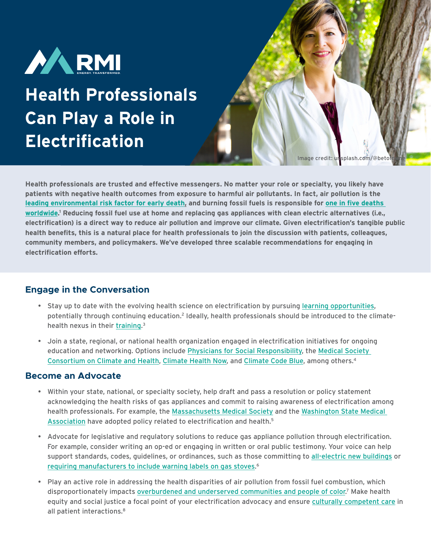

# **Health Professionals Can Play a Role in Electrification**

Image credit: unsplash.com/@bet

**Health professionals are trusted and effective messengers. No matter your role or specialty, you likely have patients with negative health outcomes from exposure to harmful air pollutants. In fact, air pollution is the [leading environmental risk factor for early death,](https://academic.oup.com/cardiovascres/article/116/11/1910/5770885) and burning fossil fuels is responsible for [one in five deaths](https://www.sciencedirect.com/science/article/abs/pii/S0013935121000487?via%3Dihub)  [worldwide](https://www.sciencedirect.com/science/article/abs/pii/S0013935121000487?via%3Dihub). 1 Reducing fossil fuel use at home and replacing gas appliances with clean electric alternatives (i.e., electrification) is a direct way to reduce air pollution and improve our climate. Given electrification's tangible public health benefits, this is a natural place for health professionals to join the discussion with patients, colleagues, community members, and policymakers. We've developed three scalable recommendations for engaging in electrification efforts.**

## **Engage in the Conversation**

- Stay up to date with the evolving health science on electrification by pursuing [learning opportunities,](https://www.healthaffairs.org/doi/10.1377/hlthaff.2020.01186) potentially through continuing education.2 Ideally, health professionals should be introduced to the climatehealth nexus in their [training](https://ms4sf.org/curriculum/).<sup>3</sup>
- Join a state, regional, or national health organization engaged in electrification initiatives for ongoing education and networking. Options include [Physicians for Social Responsibility,](https://www.psr.org/) the [Medical Society](https://medsocietiesforclimatehealth.org/)  [Consortium on Climate and Health](https://medsocietiesforclimatehealth.org/), [Climate Health Now,](https://www.climatehealthnow.org/) and [Climate Code Blue](https://www.climatecodeblue.org/), among others.4

#### **Become an Advocate**

- Within your state, national, or specialty society, help draft and pass a resolution or policy statement acknowledging the health risks of gas appliances and commit to raising awareness of electrification among health professionals. For example, the [Massachusetts Medical Society](https://www.massmed.org/Publications/Vital-Signs---Member-Publication/Connection-Between-Natural-Gas-Stoves-and-Pediatric-Asthma/) and the [Washington State Medical](https://wsma.org/WSMA/WSMA/About/Policies/Whats_Our_Policy/Public_Health/promotion_of_building_electrification_to_improve_human_health.aspx)  [Association](https://wsma.org/WSMA/WSMA/About/Policies/Whats_Our_Policy/Public_Health/promotion_of_building_electrification_to_improve_human_health.aspx) have adopted policy related to electrification and health.<sup>5</sup>
- Advocate for legislative and regulatory solutions to reduce gas appliance pollution through electrification. For example, consider writing an op-ed or engaging in written or oral public testimony. Your voice can help support standards, codes, guidelines, or ordinances, such as those committing to [all-electric new b](https://www.sierraclub.org/articles/2021/07/californias-cities-lead-way-gas-free-future)uildings or [requiring manufacturers to include warning labels on gas stoves](https://rmi.org/insight/gas-stoves-pollution-health/). 6
- Play an active role in addressing the health disparities of air pollution from fossil fuel combustion, which disproportionately impacts [overburdened and underserved communities and people of color](https://www.lung.org/clean-air/outdoors/who-is-at-risk/disparities).<sup>7</sup> Make health equity and social justice a focal point of your electrification advocacy and ensure [culturally competent care](https://hpi.georgetown.edu/cultural/) in all patient interactions.<sup>8</sup>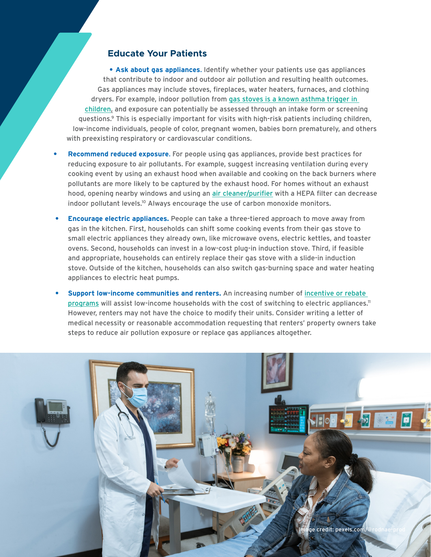### **Educate Your Patients**

**• Ask about gas appliances**. Identify whether your patients use gas appliances that contribute to indoor and outdoor air pollution and resulting health outcomes. Gas appliances may include stoves, fireplaces, water heaters, furnaces, and clothing dryers. For example, indoor pollution from [gas stoves is a known asthma trigger in](https://pubmed.ncbi.nlm.nih.gov/23962958/)  [children,](https://pubmed.ncbi.nlm.nih.gov/23962958/) and exposure can potentially be assessed through an intake form or screening questions.9 This is especially important for visits with high-risk patients including children, low-income individuals, people of color, pregnant women, babies born prematurely, and others with preexisting respiratory or cardiovascular conditions.

- **• Recommend reduced exposure**. For people using gas appliances, provide best practices for reducing exposure to air pollutants. For example, suggest increasing ventilation during every cooking event by using an exhaust hood when available and cooking on the back burners where pollutants are more likely to be captured by the exhaust hood. For homes without an exhaust hood, opening nearby windows and using an [air cleaner/purifier](https://ww2.arb.ca.gov/our-work/programs/air-cleaners-ozone-products/air-cleaner-information-consumers) with a HEPA filter can decrease indoor pollutant levels.<sup>10</sup> Always encourage the use of carbon monoxide monitors.
- **• Encourage electric appliances.** People can take a three-tiered approach to move away from gas in the kitchen. First, households can shift some cooking events from their gas stove to small electric appliances they already own, like microwave ovens, electric kettles, and toaster ovens. Second, households can invest in a low-cost plug-in induction stove. Third, if feasible and appropriate, households can entirely replace their gas stove with a slide-in induction stove. Outside of the kitchen, households can also switch gas-burning space and water heating appliances to electric heat pumps.
- **• Support low-income communities and renters.** An increasing number of [incentive or rebate](https://www.buildingdecarb.org/kitchen-electrification-group-resource-directory.html)  [programs](https://www.buildingdecarb.org/kitchen-electrification-group-resource-directory.html) will assist low-income households with the cost of switching to electric appliances.<sup>11</sup> However, renters may not have the choice to modify their units. Consider writing a letter of medical necessity or reasonable accommodation requesting that renters' property owners take steps to reduce air pollution exposure or replace gas appliances altogether.